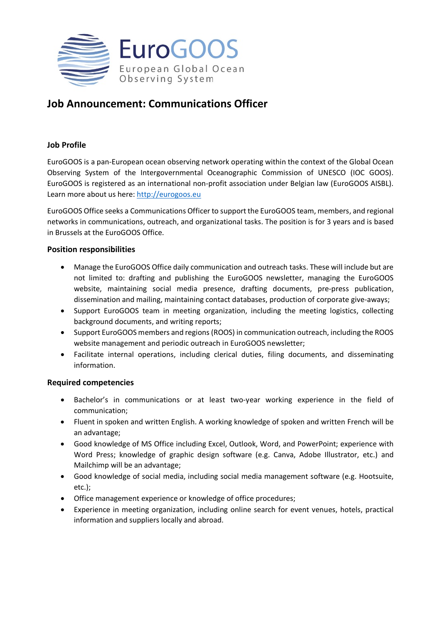

# **Job Announcement: Communications Officer**

# **Job Profile**

EuroGOOS is a pan-European ocean observing network operating within the context of the [Global](http://www.ioc-goos.org/) Ocean [Observing](http://www.ioc-goos.org/) System of the Intergovernmental Oceanographic Commission of UNESCO (IOC GOOS). EuroGOOS is registered as an international non-profit association under Belgian law (EuroGOOS AISBL). Learn more about us here: [http://eurogoos.eu](http://eurogoos.eu/)

EuroGOOS Office seeks a Communications Officer to support the EuroGOOS team, members, and regional networks in communications, outreach, and organizational tasks. The position is for 3 years and is based in Brussels at the EuroGOOS Office.

## **Position responsibilities**

- Manage the EuroGOOS Office daily communication and outreach tasks. These will include but are not limited to: drafting and publishing the EuroGOOS newsletter, managing the EuroGOOS website, maintaining social media presence, drafting documents, pre-press publication, dissemination and mailing, maintaining contact databases, production of corporate give-aways;
- Support EuroGOOS team in meeting organization, including the meeting logistics, collecting background documents, and writing reports;
- Support EuroGOOS members and regions (ROOS) in communication outreach, including the ROOS website management and periodic outreach in EuroGOOS newsletter;
- Facilitate internal operations, including clerical duties, filing documents, and disseminating information.

# **Required competencies**

- Bachelor's in communications or at least two-year working experience in the field of communication;
- Fluent in spoken and written English. A working knowledge of spoken and written French will be an advantage;
- Good knowledge of MS Office including Excel, Outlook, Word, and PowerPoint; experience with Word Press; knowledge of graphic design software (e.g. Canva, Adobe Illustrator, etc.) and Mailchimp will be an advantage;
- Good knowledge of social media, including social media management software (e.g. Hootsuite, etc.);
- Office management experience or knowledge of office procedures;
- Experience in meeting organization, including online search for event venues, hotels, practical information and suppliers locally and abroad.